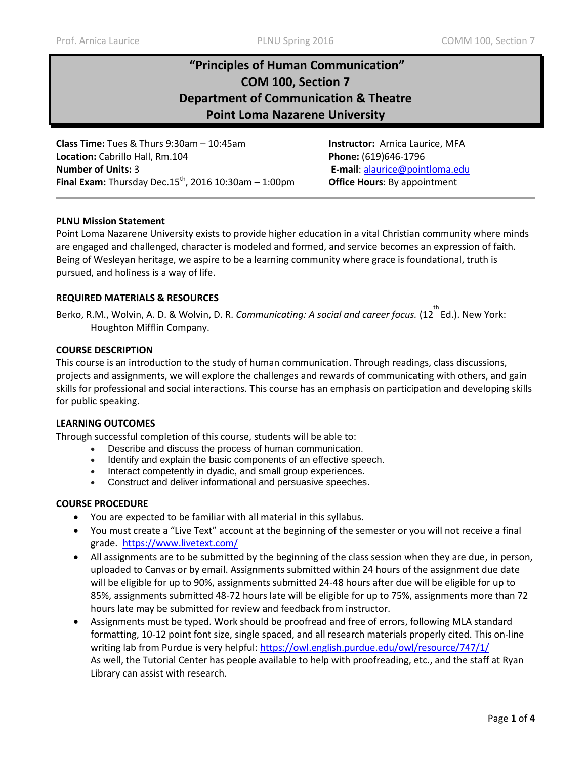# **"Principles of Human Communication" COM 100, Section 7 Department of Communication & Theatre Point Loma Nazarene University**

**Class Time:** Tues & Thurs 9:30am – 10:45am **Instructor:** Arnica Laurice, MFA **Location:** Cabrillo Hall, Rm.104 **Phone:** (619)646-1796 **Number of Units:** 3 **E-mail**: [alaurice@pointloma.edu](mailto:alaurice@pointloma.edu)  **Final Exam:** Thursday Dec.15<sup>th</sup>, 2016 10:30am – 1:00pm **Office Hours**: By appointment

#### **PLNU Mission Statement**

Point Loma Nazarene University exists to provide higher education in a vital Christian community where minds are engaged and challenged, character is modeled and formed, and service becomes an expression of faith. Being of Wesleyan heritage, we aspire to be a learning community where grace is foundational, truth is pursued, and holiness is a way of life.

#### **REQUIRED MATERIALS & RESOURCES**

Berko, R.M., Wolvin, A. D. & Wolvin, D. R. *Communicating: A social and career focus.* (12<sup>th</sup>Ed.). New York: Houghton Mifflin Company.

#### **COURSE DESCRIPTION**

This course is an introduction to the study of human communication. Through readings, class discussions, projects and assignments, we will explore the challenges and rewards of communicating with others, and gain skills for professional and social interactions. This course has an emphasis on participation and developing skills for public speaking.

#### **LEARNING OUTCOMES**

Through successful completion of this course, students will be able to:

- Describe and discuss the process of human communication.
- Identify and explain the basic components of an effective speech.
- Interact competently in dyadic, and small group experiences.
- Construct and deliver informational and persuasive speeches.

#### **COURSE PROCEDURE**

- You are expected to be familiar with all material in this syllabus.
- You must create a "Live Text" account at the beginning of the semester or you will not receive a final grade. <https://www.livetext.com/>
- All assignments are to be submitted by the beginning of the class session when they are due, in person, uploaded to Canvas or by email. Assignments submitted within 24 hours of the assignment due date will be eligible for up to 90%, assignments submitted 24-48 hours after due will be eligible for up to 85%, assignments submitted 48-72 hours late will be eligible for up to 75%, assignments more than 72 hours late may be submitted for review and feedback from instructor.
- Assignments must be typed. Work should be proofread and free of errors, following MLA standard formatting, 10-12 point font size, single spaced, and all research materials properly cited. This on-line writing lab from Purdue is very helpful:<https://owl.english.purdue.edu/owl/resource/747/1/> As well, the Tutorial Center has people available to help with proofreading, etc., and the staff at Ryan Library can assist with research.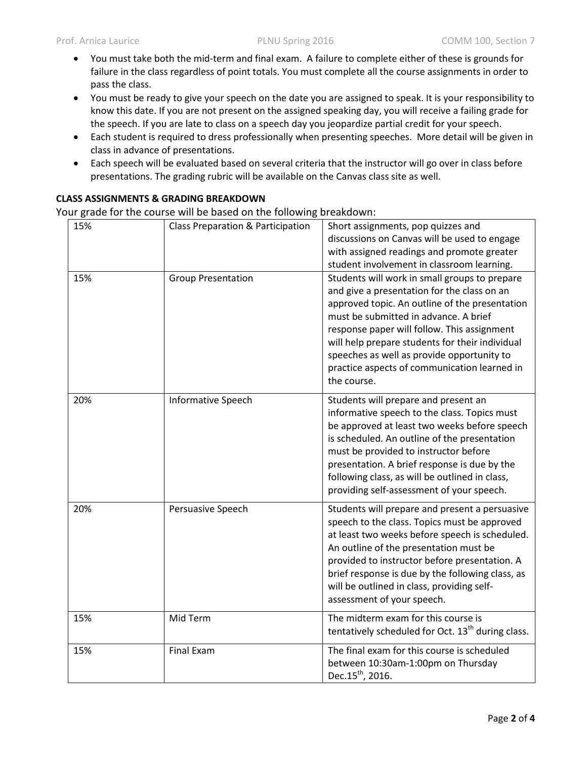- You must take both the mid-term and final exam. A failure to complete either of these is grounds for failure in the class regardless of point totals. You must complete all the course assignments in order to pass the class.
- You must be ready to give your speech on the date you are assigned to speak. It is your responsibility to know this date. If you are not present on the assigned speaking day, you will receive a failing grade for the speech. If you are late to class on a speech day you jeopardize partial credit for your speech.
- Each student is required to dress professionally when presenting speeches. More detail will be given in class in advance of presentations.
- Each speech will be evaluated based on several criteria that the instructor will go over in class before presentations. The grading rubric will be available on the Canvas class site as well.

## **CLASS ASSIGNMENTS & GRADING BREAKDOWN**

Your grade for the course will be based on the following breakdown:

| 15%<br>15% | Class Preparation & Participation<br><b>Group Presentation</b> | Short assignments, pop quizzes and<br>discussions on Canvas will be used to engage<br>with assigned readings and promote greater<br>student involvement in classroom learning.<br>Students will work in small groups to prepare<br>and give a presentation for the class on an<br>approved topic. An outline of the presentation<br>must be submitted in advance. A brief<br>response paper will follow. This assignment<br>will help prepare students for their individual |
|------------|----------------------------------------------------------------|-----------------------------------------------------------------------------------------------------------------------------------------------------------------------------------------------------------------------------------------------------------------------------------------------------------------------------------------------------------------------------------------------------------------------------------------------------------------------------|
|            |                                                                | speeches as well as provide opportunity to<br>practice aspects of communication learned in<br>the course.                                                                                                                                                                                                                                                                                                                                                                   |
| 20%        | <b>Informative Speech</b>                                      | Students will prepare and present an<br>informative speech to the class. Topics must<br>be approved at least two weeks before speech<br>is scheduled. An outline of the presentation<br>must be provided to instructor before<br>presentation. A brief response is due by the<br>following class, as will be outlined in class,<br>providing self-assessment of your speech.                                                                                                |
| 20%        | Persuasive Speech                                              | Students will prepare and present a persuasive<br>speech to the class. Topics must be approved<br>at least two weeks before speech is scheduled.<br>An outline of the presentation must be<br>provided to instructor before presentation. A<br>brief response is due by the following class, as<br>will be outlined in class, providing self-<br>assessment of your speech.                                                                                                 |
| 15%        | Mid Term                                                       | The midterm exam for this course is<br>tentatively scheduled for Oct. 13 <sup>th</sup> during class.                                                                                                                                                                                                                                                                                                                                                                        |
| 15%        | <b>Final Exam</b>                                              | The final exam for this course is scheduled<br>between 10:30am-1:00pm on Thursday<br>Dec.15 <sup>th</sup> , 2016.                                                                                                                                                                                                                                                                                                                                                           |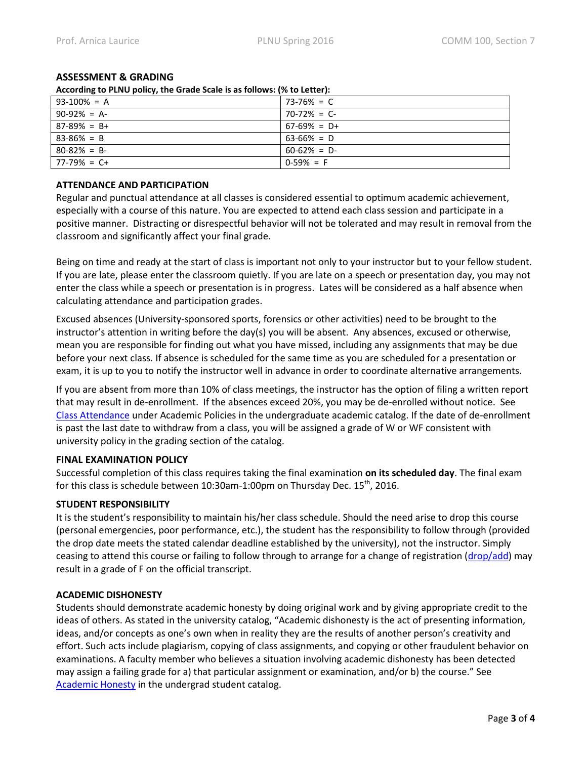## **ASSESSMENT & GRADING**

**According to PLNU policy, the Grade Scale is as follows: (% to Letter):** 

| $93-100% = A$   | 73-76% = C     |  |
|-----------------|----------------|--|
| $90-92\% = A$   | $70-72\% = C$  |  |
| $87-89\% = B+$  | $67-69\% = D+$ |  |
| $83 - 86\% = B$ | $63-66\% = D$  |  |
| $80-82% = B$    | $60-62\% = D$  |  |
| $177-79\% = C+$ | $0-59\% = F$   |  |

### **ATTENDANCE AND PARTICIPATION**

Regular and punctual attendance at all classes is considered essential to optimum academic achievement, especially with a course of this nature. You are expected to attend each class session and participate in a positive manner. Distracting or disrespectful behavior will not be tolerated and may result in removal from the classroom and significantly affect your final grade.

Being on time and ready at the start of class is important not only to your instructor but to your fellow student. If you are late, please enter the classroom quietly. If you are late on a speech or presentation day, you may not enter the class while a speech or presentation is in progress. Lates will be considered as a half absence when calculating attendance and participation grades.

Excused absences (University-sponsored sports, forensics or other activities) need to be brought to the instructor's attention in writing before the day(s) you will be absent. Any absences, excused or otherwise, mean you are responsible for finding out what you have missed, including any assignments that may be due before your next class. If absence is scheduled for the same time as you are scheduled for a presentation or exam, it is up to you to notify the instructor well in advance in order to coordinate alternative arrangements.

If you are absent from more than 10% of class meetings, the instructor has the option of filing a written report that may result in de-enrollment. If the absences exceed 20%, you may be de-enrolled without notice. See [Class Attendance](http://catalog.pointloma.edu/content.php?catoid=18&navoid=1278#Class_Attendance) under Academic Policies in the undergraduate academic catalog. If the date of de-enrollment is past the last date to withdraw from a class, you will be assigned a grade of W or WF consistent with university policy in the grading section of the catalog.

## **FINAL EXAMINATION POLICY**

Successful completion of this class requires taking the final examination **on its scheduled day**. The final exam for this class is schedule between 10:30am-1:00pm on Thursday Dec. 15<sup>th</sup>, 2016.

## **STUDENT RESPONSIBILITY**

It is the student's responsibility to maintain his/her class schedule. Should the need arise to drop this course (personal emergencies, poor performance, etc.), the student has the responsibility to follow through (provided the drop date meets the stated calendar deadline established by the university), not the instructor. Simply ceasing to attend this course or failing to follow through to arrange for a change of registration [\(drop/add\)](http://www.pointloma.edu/sites/default/files/filemanager/Records_Office/Change_of_Schedule_Form.pdf) may result in a grade of F on the official transcript.

## **ACADEMIC DISHONESTY**

Students should demonstrate academic honesty by doing original work and by giving appropriate credit to the ideas of others. As stated in the university catalog, "Academic dishonesty is the act of presenting information, ideas, and/or concepts as one's own when in reality they are the results of another person's creativity and effort. Such acts include plagiarism, copying of class assignments, and copying or other fraudulent behavior on examinations. A faculty member who believes a situation involving academic dishonesty has been detected may assign a failing grade for a) that particular assignment or examination, and/or b) the course." See [Academic Honesty](http://catalog.pointloma.edu/content.php?catoid=18&navoid=1278#Academic_Honesty) in the undergrad student catalog.